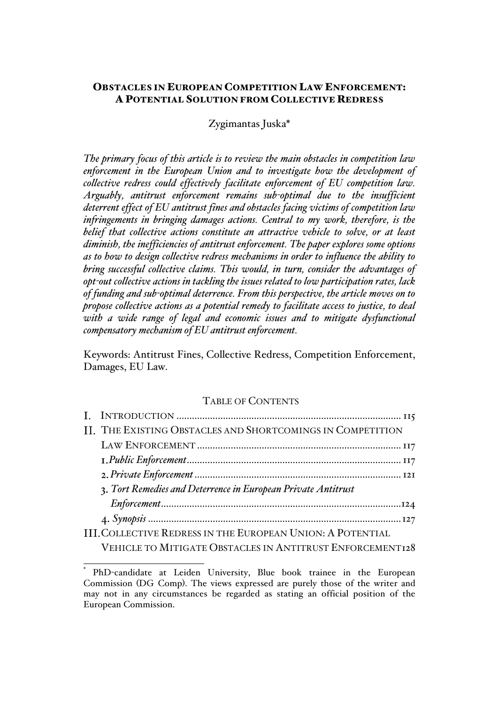# OBSTACLES IN EUROPEAN COMPETITION LAW ENFORCEMENT: A POTENTIAL SOLUTION FROM COLLECTIVE REDRESS

# Zygimantas Juska\*

*The primary focus of this article is to review the main obstacles in competition law enforcement in the European Union and to investigate how the development of collective redress could effectively facilitate enforcement of EU competition law. Arguably, antitrust enforcement remains sub-optimal due to the insufficient deterrent effect of EU antitrust fines and obstacles facing victims of competition law infringements in bringing damages actions. Central to my work, therefore, is the belief that collective actions constitute an attractive vehicle to solve, or at least diminish, the inefficiencies of antitrust enforcement. The paper explores some options as to how to design collective redress mechanisms in order to influence the ability to bring successful collective claims. This would, in turn, consider the advantages of opt-out collective actions in tackling the issues related to low participation rates, lack of funding and sub-optimal deterrence. From this perspective, the article moves on to propose collective actions as a potential remedy to facilitate access to justice, to deal with a wide range of legal and economic issues and to mitigate dysfunctional compensatory mechanism of EU antitrust enforcement.*

Keywords: Antitrust Fines, Collective Redress, Competition Enforcement, Damages, EU Law.

#### TABLE OF CONTENTS

| II. THE EXISTING OBSTACLES AND SHORTCOMINGS IN COMPETITION        |  |
|-------------------------------------------------------------------|--|
|                                                                   |  |
|                                                                   |  |
|                                                                   |  |
| 3. Tort Remedies and Deterrence in European Private Antitrust     |  |
|                                                                   |  |
|                                                                   |  |
| <b>III. COLLECTIVE REDRESS IN THE EUROPEAN UNION: A POTENTIAL</b> |  |

VEHICLE TO MITIGATE OBSTACLES IN ANTITRUST ENFORCEMENT128

 <sup>\*</sup> PhD-candidate at Leiden University, Blue book trainee in the European Commission (DG Comp). The views expressed are purely those of the writer and may not in any circumstances be regarded as stating an official position of the European Commission.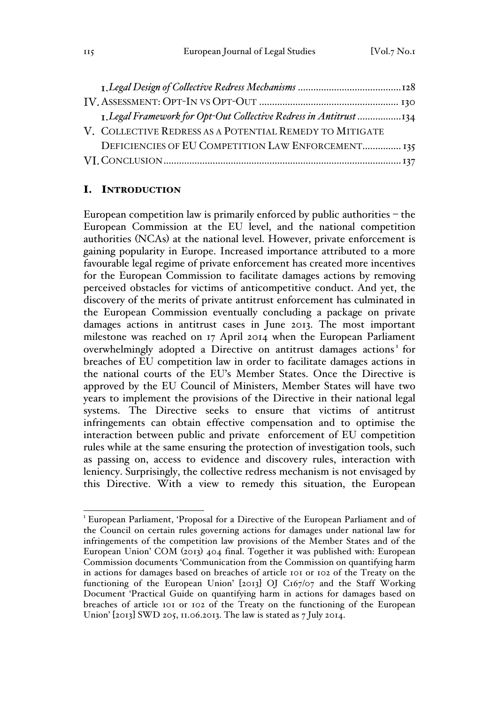| 1. Legal Framework for Opt-Out Collective Redress in Antitrust 134 |  |
|--------------------------------------------------------------------|--|
| V. COLLECTIVE REDRESS AS A POTENTIAL REMEDY TO MITIGATE            |  |
| DEFICIENCIES OF EU COMPETITION LAW ENFORCEMENT 135                 |  |
|                                                                    |  |

# I. INTRODUCTION

European competition law is primarily enforced by public authorities – the European Commission at the EU level, and the national competition authorities (NCAs) at the national level. However, private enforcement is gaining popularity in Europe. Increased importance attributed to a more favourable legal regime of private enforcement has created more incentives for the European Commission to facilitate damages actions by removing perceived obstacles for victims of anticompetitive conduct. And yet, the discovery of the merits of private antitrust enforcement has culminated in the European Commission eventually concluding a package on private damages actions in antitrust cases in June 2013. The most important milestone was reached on 17 April 2014 when the European Parliament overwhelmingly adopted a Directive on antitrust damages actions<sup>1</sup> for breaches of EU competition law in order to facilitate damages actions in the national courts of the EU's Member States. Once the Directive is approved by the EU Council of Ministers, Member States will have two years to implement the provisions of the Directive in their national legal systems. The Directive seeks to ensure that victims of antitrust infringements can obtain effective compensation and to optimise the interaction between public and private enforcement of EU competition rules while at the same ensuring the protection of investigation tools, such as passing on, access to evidence and discovery rules, interaction with leniency. Surprisingly, the collective redress mechanism is not envisaged by this Directive. With a view to remedy this situation, the European

<sup>&</sup>lt;sup>1</sup> European Parliament, 'Proposal for a Directive of the European Parliament and of the Council on certain rules governing actions for damages under national law for infringements of the competition law provisions of the Member States and of the European Union' COM (2013) 404 final. Together it was published with: European Commission documents 'Communication from the Commission on quantifying harm in actions for damages based on breaches of article 101 or 102 of the Treaty on the functioning of the European Union' [2013] OJ C167/07 and the Staff Working Document 'Practical Guide on quantifying harm in actions for damages based on breaches of article 101 or 102 of the Treaty on the functioning of the European Union' [2013] SWD 205, 11.06.2013. The law is stated as 7 July 2014.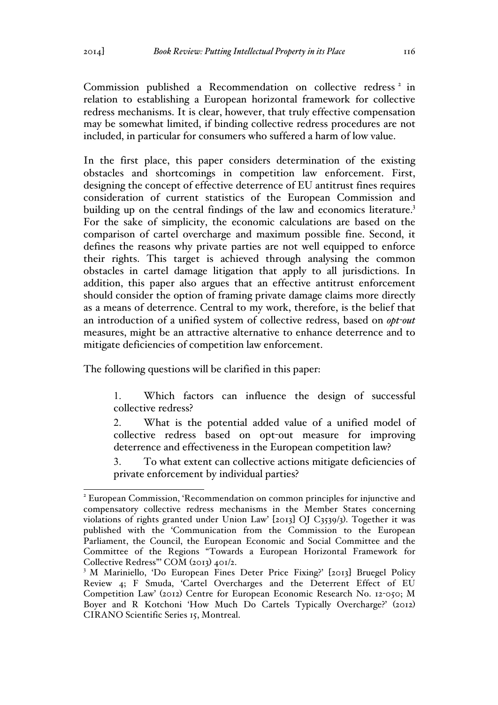Commission published a Recommendation on collective redress<sup>2</sup> in relation to establishing a European horizontal framework for collective redress mechanisms. It is clear, however, that truly effective compensation may be somewhat limited, if binding collective redress procedures are not included, in particular for consumers who suffered a harm of low value.

In the first place, this paper considers determination of the existing obstacles and shortcomings in competition law enforcement. First, designing the concept of effective deterrence of EU antitrust fines requires consideration of current statistics of the European Commission and building up on the central findings of the law and economics literature.<sup>3</sup> For the sake of simplicity, the economic calculations are based on the comparison of cartel overcharge and maximum possible fine. Second, it defines the reasons why private parties are not well equipped to enforce their rights. This target is achieved through analysing the common obstacles in cartel damage litigation that apply to all jurisdictions. In addition, this paper also argues that an effective antitrust enforcement should consider the option of framing private damage claims more directly as a means of deterrence. Central to my work, therefore, is the belief that an introduction of a unified system of collective redress, based on *opt-out* measures, might be an attractive alternative to enhance deterrence and to mitigate deficiencies of competition law enforcement.

The following questions will be clarified in this paper:

1. Which factors can influence the design of successful collective redress?

2. What is the potential added value of a unified model of collective redress based on opt-out measure for improving deterrence and effectiveness in the European competition law?

3. To what extent can collective actions mitigate deficiencies of private enforcement by individual parties?

 <sup>2</sup> European Commission, 'Recommendation on common principles for injunctive and compensatory collective redress mechanisms in the Member States concerning violations of rights granted under Union Law' [2013] OJ C3539/3). Together it was published with the 'Communication from the Commission to the European Parliament, the Council, the European Economic and Social Committee and the Committee of the Regions "Towards a European Horizontal Framework for Collective Redress"' COM (2013) 401/2.

<sup>&</sup>lt;sup>3</sup> M Mariniello, 'Do European Fines Deter Price Fixing?' [2013] Bruegel Policy Review 4; F Smuda, 'Cartel Overcharges and the Deterrent Effect of EU Competition Law' (2012) Centre for European Economic Research No. 12-050; M Boyer and R Kotchoni 'How Much Do Cartels Typically Overcharge?' (2012) CIRANO Scientific Series 15, Montreal.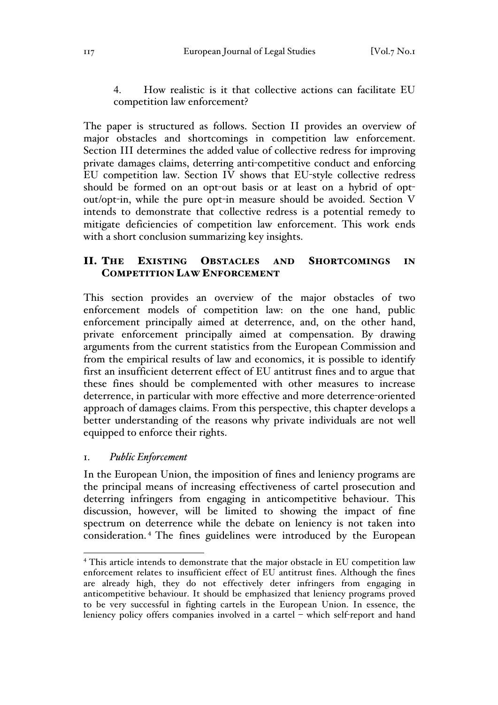4. How realistic is it that collective actions can facilitate EU competition law enforcement?

The paper is structured as follows. Section II provides an overview of major obstacles and shortcomings in competition law enforcement. Section III determines the added value of collective redress for improving private damages claims, deterring anti-competitive conduct and enforcing EU competition law. Section IV shows that EU-style collective redress should be formed on an opt-out basis or at least on a hybrid of optout/opt-in, while the pure opt-in measure should be avoided. Section V intends to demonstrate that collective redress is a potential remedy to mitigate deficiencies of competition law enforcement. This work ends with a short conclusion summarizing key insights.

# II. THE EXISTING OBSTACLES AND SHORTCOMINGS IN COMPETITION LAW ENFORCEMENT

This section provides an overview of the major obstacles of two enforcement models of competition law: on the one hand, public enforcement principally aimed at deterrence, and, on the other hand, private enforcement principally aimed at compensation. By drawing arguments from the current statistics from the European Commission and from the empirical results of law and economics, it is possible to identify first an insufficient deterrent effect of EU antitrust fines and to argue that these fines should be complemented with other measures to increase deterrence, in particular with more effective and more deterrence-oriented approach of damages claims. From this perspective, this chapter develops a better understanding of the reasons why private individuals are not well equipped to enforce their rights.

#### 1. *Public Enforcement*

In the European Union, the imposition of fines and leniency programs are the principal means of increasing effectiveness of cartel prosecution and deterring infringers from engaging in anticompetitive behaviour. This discussion, however, will be limited to showing the impact of fine spectrum on deterrence while the debate on leniency is not taken into consideration. <sup>4</sup> The fines guidelines were introduced by the European

<sup>&</sup>lt;sup>4</sup> This article intends to demonstrate that the major obstacle in EU competition law enforcement relates to insufficient effect of EU antitrust fines. Although the fines are already high, they do not effectively deter infringers from engaging in anticompetitive behaviour. It should be emphasized that leniency programs proved to be very successful in fighting cartels in the European Union. In essence, the leniency policy offers companies involved in a cartel – which self-report and hand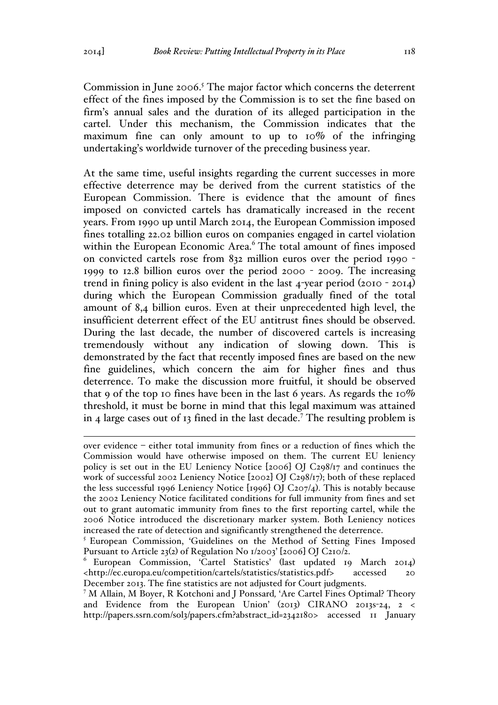Commission in June 2006.<sup>5</sup> The major factor which concerns the deterrent effect of the fines imposed by the Commission is to set the fine based on firm's annual sales and the duration of its alleged participation in the cartel. Under this mechanism, the Commission indicates that the maximum fine can only amount to up to 10% of the infringing undertaking's worldwide turnover of the preceding business year.

At the same time, useful insights regarding the current successes in more effective deterrence may be derived from the current statistics of the European Commission. There is evidence that the amount of fines imposed on convicted cartels has dramatically increased in the recent years. From 1990 up until March 2014, the European Commission imposed fines totalling 22.02 billion euros on companies engaged in cartel violation within the European Economic Area.<sup>6</sup> The total amount of fines imposed on convicted cartels rose from 832 million euros over the period 1990 - 1999 to 12.8 billion euros over the period 2000 - 2009. The increasing trend in fining policy is also evident in the last 4-year period (2010 - 2014) during which the European Commission gradually fined of the total amount of 8,4 billion euros. Even at their unprecedented high level, the insufficient deterrent effect of the EU antitrust fines should be observed. During the last decade, the number of discovered cartels is increasing tremendously without any indication of slowing down. This is demonstrated by the fact that recently imposed fines are based on the new fine guidelines, which concern the aim for higher fines and thus deterrence. To make the discussion more fruitful, it should be observed that 9 of the top 10 fines have been in the last 6 years. As regards the  $10\%$ threshold, it must be borne in mind that this legal maximum was attained in 4 large cases out of 13 fined in the last decade.<sup>7</sup> The resulting problem is

over evidence – either total immunity from fines or a reduction of fines which the Commission would have otherwise imposed on them. The current EU leniency policy is set out in the EU Leniency Notice [2006] OJ C298/17 and continues the work of successful 2002 Leniency Notice [2002] OJ C298/17); both of these replaced the less successful 1996 Leniency Notice [1996] OJ C207/4). This is notably because the 2002 Leniency Notice facilitated conditions for full immunity from fines and set out to grant automatic immunity from fines to the first reporting cartel, while the 2006 Notice introduced the discretionary marker system. Both Leniency notices increased the rate of detection and significantly strengthened the deterrence.

<sup>5</sup> European Commission, 'Guidelines on the Method of Setting Fines Imposed Pursuant to Article 23(2) of Regulation No 1/2003' [2006] OJ C210/2.

<sup>6</sup> European Commission, 'Cartel Statistics' (last updated 19 March 2014) <http://ec.europa.eu/competition/cartels/statistics/statistics.pdf> accessed 20 December 2013. The fine statistics are not adjusted for Court judgments.

<sup>7</sup> M Allain, M Boyer, R Kotchoni and J Ponssard*,* 'Are Cartel Fines Optimal? Theory and Evidence from the European Union' (2013) CIRANO 2013s-24, 2 < http://papers.ssrn.com/sol3/papers.cfm?abstract\_id=2342180> accessed 11 January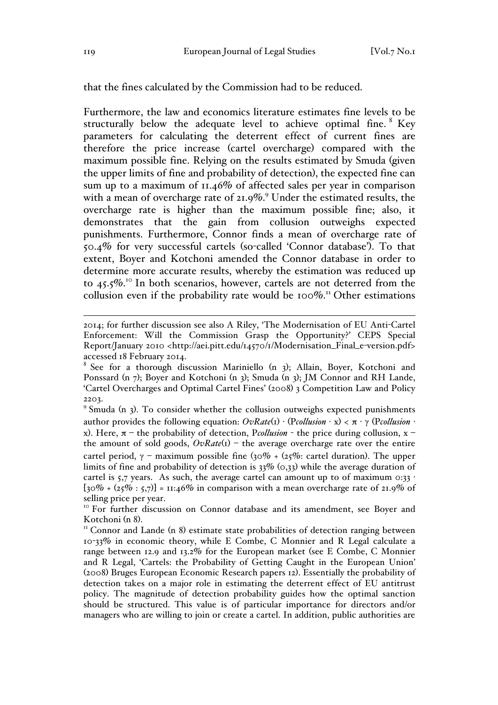that the fines calculated by the Commission had to be reduced.

Furthermore, the law and economics literature estimates fine levels to be structurally below the adequate level to achieve optimal fine. <sup>8</sup> Key parameters for calculating the deterrent effect of current fines are therefore the price increase (cartel overcharge) compared with the maximum possible fine. Relying on the results estimated by Smuda (given the upper limits of fine and probability of detection), the expected fine can sum up to a maximum of 11.46% of affected sales per year in comparison with a mean of overcharge rate of 21.9%. <sup>9</sup> Under the estimated results, the overcharge rate is higher than the maximum possible fine; also, it demonstrates that the gain from collusion outweighs expected punishments. Furthermore, Connor finds a mean of overcharge rate of 50.4% for very successful cartels (so-called 'Connor database'). To that extent, Boyer and Kotchoni amended the Connor database in order to determine more accurate results, whereby the estimation was reduced up to 45.5%. <sup>10</sup> In both scenarios, however, cartels are not deterred from the collusion even if the probability rate would be 100%.<sup>11</sup> Other estimations

 <sup>2014;</sup> for further discussion see also A Riley, 'The Modernisation of EU Anti-Cartel Enforcement: Will the Commission Grasp the Opportunity?' CEPS Special Report/January 2010 <http://aei.pitt.edu/14570/1/Modernisation\_Final\_e-version.pdf> accessed 18 February 2014.

<sup>&</sup>lt;sup>8</sup> See for a thorough discussion Mariniello  $(n, 3)$ ; Allain, Boyer, Kotchoni and Ponssard (n 7); Boyer and Kotchoni (n 3); Smuda (n 3); JM Connor and RH Lande, 'Cartel Overcharges and Optimal Cartel Fines' (2008) 3 Competition Law and Policy 2203.

<sup>9</sup> Smuda (n 3). To consider whether the collusion outweighs expected punishments author provides the following equation: *OvRate*(1) · (P*collusion* · x) < π · γ (P*collusion* · x). Here, π – the probability of detection, P*collusion* - the price during collusion, x – the amount of sold goods,  $OvRate(1)$  – the average overcharge rate over the entire cartel period,  $\gamma$  – maximum possible fine (30% + (25%: cartel duration). The upper limits of fine and probability of detection is 33% (0,33) while the average duration of cartel is 5,7 years. As such, the average cartel can amount up to of maximum  $0:33$  $[30\% + (25\% : 5,7)] = 11:46\%$  in comparison with a mean overcharge rate of 21.9% of selling price per year.

<sup>&</sup>lt;sup>10</sup> For further discussion on Connor database and its amendment, see Boyer and Kotchoni (n 8).<br><sup>11</sup> Connor and Lande (n 8) estimate state probabilities of detection ranging between

<sup>10</sup>-33% in economic theory, while E Combe, C Monnier and R Legal calculate a range between 12.9 and 13.2% for the European market (see E Combe, C Monnier and R Legal, 'Cartels: the Probability of Getting Caught in the European Union' (2008) Bruges European Economic Research papers 12). Essentially the probability of detection takes on a major role in estimating the deterrent effect of EU antitrust policy. The magnitude of detection probability guides how the optimal sanction should be structured. This value is of particular importance for directors and/or managers who are willing to join or create a cartel. In addition, public authorities are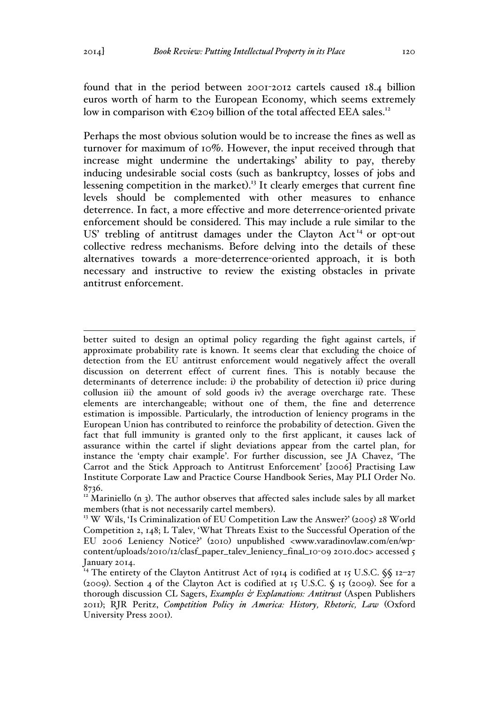found that in the period between 2001-2012 cartels caused 18.4 billion euros worth of harm to the European Economy, which seems extremely low in comparison with  $\epsilon$ 209 billion of the total affected EEA sales.<sup>12</sup>

Perhaps the most obvious solution would be to increase the fines as well as turnover for maximum of 10%. However, the input received through that increase might undermine the undertakings' ability to pay, thereby inducing undesirable social costs (such as bankruptcy, losses of jobs and lessening competition in the market).<sup>13</sup> It clearly emerges that current fine levels should be complemented with other measures to enhance deterrence. In fact, a more effective and more deterrence-oriented private enforcement should be considered. This may include a rule similar to the US' trebling of antitrust damages under the Clayton Act<sup>14</sup> or opt-out collective redress mechanisms. Before delving into the details of these alternatives towards a more-deterrence-oriented approach, it is both necessary and instructive to review the existing obstacles in private antitrust enforcement.

better suited to design an optimal policy regarding the fight against cartels, if approximate probability rate is known. It seems clear that excluding the choice of detection from the EU antitrust enforcement would negatively affect the overall discussion on deterrent effect of current fines. This is notably because the determinants of deterrence include: i) the probability of detection ii) price during collusion iii) the amount of sold goods iv) the average overcharge rate. These elements are interchangeable; without one of them, the fine and deterrence estimation is impossible. Particularly, the introduction of leniency programs in the European Union has contributed to reinforce the probability of detection. Given the fact that full immunity is granted only to the first applicant, it causes lack of assurance within the cartel if slight deviations appear from the cartel plan, for instance the 'empty chair example'. For further discussion, see JA Chavez, 'The Carrot and the Stick Approach to Antitrust Enforcement' [2006] Practising Law Institute Corporate Law and Practice Course Handbook Series, May PLI Order No. 8736.

 $12$  Mariniello (n 3). The author observes that affected sales include sales by all market members (that is not necessarily cartel members).<br><sup>13</sup> W Wils, 'Is Criminalization of EU Competition Law the Answer?' (2005) 28 World

Competition 2, 148; L Talev, 'What Threats Exist to the Successful Operation of the EU 2006 Leniency Notice?' (2010) unpublished <www.varadinovlaw.com/en/wpcontent/uploads/2010/12/clasf\_paper\_talev\_leniency\_final\_10-09 2010.doc> accessed 5 January 2014.

<sup>&</sup>lt;sup>14</sup> The entirety of the Clayton Antitrust Act of 1914 is codified at 15 U.S.C.  $\frac{6}{9}$  12-27 (2009). Section 4 of the Clayton Act is codified at 15 U.S.C. § 15 (2009). See for a thorough discussion CL Sagers, *Examples & Explanations: Antitrust* (Aspen Publishers 2011); RJR Peritz, *Competition Policy in America: History, Rhetoric, Law* (Oxford University Press 2001).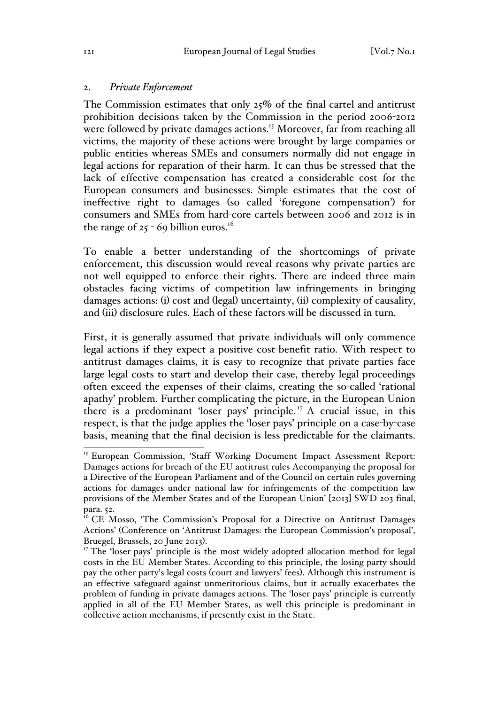#### 2. *Private Enforcement*

The Commission estimates that only 25% of the final cartel and antitrust prohibition decisions taken by the Commission in the period 2006-2012 were followed by private damages actions.<sup>15</sup> Moreover, far from reaching all victims, the majority of these actions were brought by large companies or public entities whereas SMEs and consumers normally did not engage in legal actions for reparation of their harm. It can thus be stressed that the lack of effective compensation has created a considerable cost for the European consumers and businesses. Simple estimates that the cost of ineffective right to damages (so called 'foregone compensation') for consumers and SMEs from hard-core cartels between 2006 and 2012 is in the range of  $25 - 69$  billion euros.<sup>16</sup>

To enable a better understanding of the shortcomings of private enforcement, this discussion would reveal reasons why private parties are not well equipped to enforce their rights. There are indeed three main obstacles facing victims of competition law infringements in bringing damages actions: (i) cost and (legal) uncertainty, (ii) complexity of causality, and (iii) disclosure rules. Each of these factors will be discussed in turn.

First, it is generally assumed that private individuals will only commence legal actions if they expect a positive cost-benefit ratio. With respect to antitrust damages claims, it is easy to recognize that private parties face large legal costs to start and develop their case, thereby legal proceedings often exceed the expenses of their claims, creating the so-called 'rational apathy' problem. Further complicating the picture, in the European Union there is a predominant 'loser pays' principle. <sup>17</sup> A crucial issue, in this respect, is that the judge applies the 'loser pays' principle on a case-by-case basis, meaning that the final decision is less predictable for the claimants.

<sup>&</sup>lt;sup>15</sup> European Commission, 'Staff Working Document Impact Assessment Report: Damages actions for breach of the EU antitrust rules Accompanying the proposal for a Directive of the European Parliament and of the Council on certain rules governing actions for damages under national law for infringements of the competition law provisions of the Member States and of the European Union' [2013] SWD 203 final, para. 52.

<sup>&</sup>lt;sup>16</sup> CE Mosso, 'The Commission's Proposal for a Directive on Antitrust Damages Actions' (Conference on 'Antitrust Damages: the European Commission's proposal',

Bruegel, Brussels, 20 June 2013). <sup>17</sup> The 'loser-pays' principle is the most widely adopted allocation method for legal costs in the EU Member States. According to this principle, the losing party should pay the other party's legal costs (court and lawyers' fees). Although this instrument is an effective safeguard against unmeritorious claims, but it actually exacerbates the problem of funding in private damages actions. The 'loser pays' principle is currently applied in all of the EU Member States, as well this principle is predominant in collective action mechanisms, if presently exist in the State.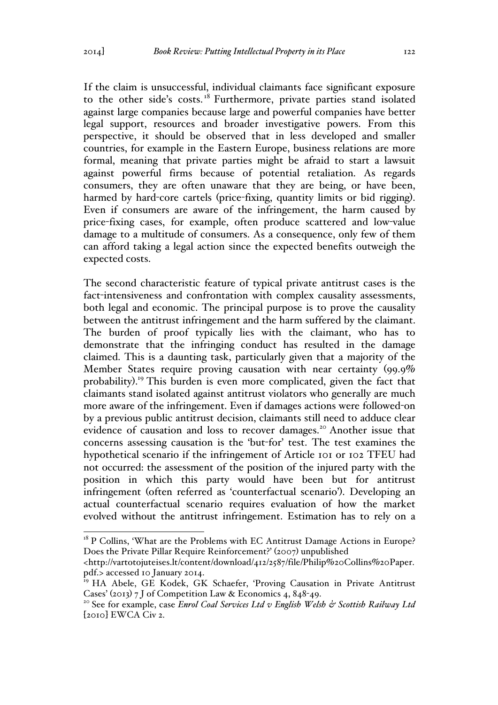If the claim is unsuccessful, individual claimants face significant exposure to the other side's costs.<sup>18</sup> Furthermore, private parties stand isolated against large companies because large and powerful companies have better legal support, resources and broader investigative powers. From this perspective, it should be observed that in less developed and smaller countries, for example in the Eastern Europe, business relations are more formal, meaning that private parties might be afraid to start a lawsuit against powerful firms because of potential retaliation. As regards consumers, they are often unaware that they are being, or have been, harmed by hard-core cartels (price-fixing, quantity limits or bid rigging). Even if consumers are aware of the infringement, the harm caused by price-fixing cases, for example, often produce scattered and low-value damage to a multitude of consumers. As a consequence, only few of them can afford taking a legal action since the expected benefits outweigh the expected costs.

The second characteristic feature of typical private antitrust cases is the fact-intensiveness and confrontation with complex causality assessments, both legal and economic. The principal purpose is to prove the causality between the antitrust infringement and the harm suffered by the claimant. The burden of proof typically lies with the claimant, who has to demonstrate that the infringing conduct has resulted in the damage claimed. This is a daunting task, particularly given that a majority of the Member States require proving causation with near certainty (99.9% probability). <sup>19</sup> This burden is even more complicated, given the fact that claimants stand isolated against antitrust violators who generally are much more aware of the infringement. Even if damages actions were followed-on by a previous public antitrust decision, claimants still need to adduce clear evidence of causation and loss to recover damages.<sup>20</sup> Another issue that concerns assessing causation is the 'but-for' test. The test examines the hypothetical scenario if the infringement of Article 101 or 102 TFEU had not occurred: the assessment of the position of the injured party with the position in which this party would have been but for antitrust infringement (often referred as 'counterfactual scenario'). Developing an actual counterfactual scenario requires evaluation of how the market evolved without the antitrust infringement. Estimation has to rely on a

 $18$  P Collins, 'What are the Problems with EC Antitrust Damage Actions in Europe? Does the Private Pillar Require Reinforcement?' (2007) unpublished

<sup>&</sup>lt;http://vartotojuteises.lt/content/download/412/2587/file/Philip%20Collins%20Paper. pdf.> accessed 10 January 2014.

<sup>&</sup>lt;sup>19</sup> HA Abele, GE Kodek, GK Schaefer, 'Proving Causation in Private Antitrust Cases' (2013) 7 J of Competition Law & Economics 4, 848-49.<br><sup>20</sup> See for example, case *Enrol Coal Services Ltd v English Welsh & Scottish Railway Ltd* 

<sup>[</sup>2010] EWCA Civ 2.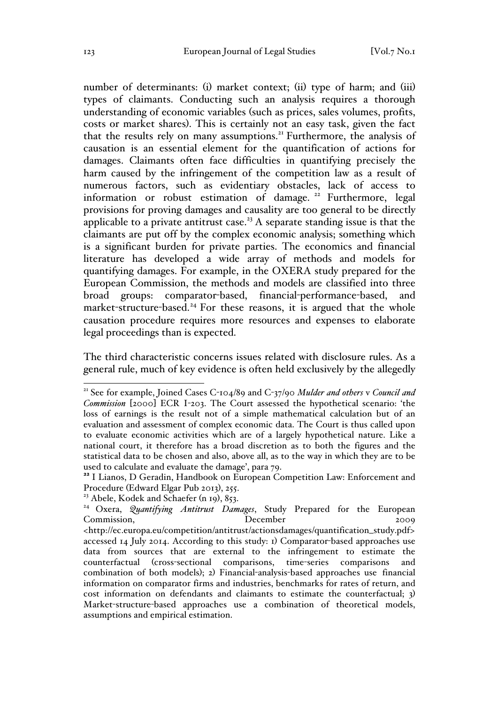number of determinants: (i) market context; (ii) type of harm; and (iii) types of claimants. Conducting such an analysis requires a thorough understanding of economic variables (such as prices, sales volumes, profits, costs or market shares). This is certainly not an easy task, given the fact that the results rely on many assumptions.<sup>21</sup> Furthermore, the analysis of causation is an essential element for the quantification of actions for damages. Claimants often face difficulties in quantifying precisely the harm caused by the infringement of the competition law as a result of numerous factors, such as evidentiary obstacles, lack of access to information or robust estimation of damage.<sup>22</sup> Furthermore, legal provisions for proving damages and causality are too general to be directly applicable to a private antitrust case.<sup>23</sup> A separate standing issue is that the claimants are put off by the complex economic analysis; something which is a significant burden for private parties. The economics and financial literature has developed a wide array of methods and models for quantifying damages. For example, in the OXERA study prepared for the European Commission, the methods and models are classified into three broad groups: comparator-based, financial-performance-based, and market-structure-based.<sup>24</sup> For these reasons, it is argued that the whole causation procedure requires more resources and expenses to elaborate legal proceedings than is expected.

The third characteristic concerns issues related with disclosure rules. As a general rule, much of key evidence is often held exclusively by the allegedly

 <sup>21</sup> See for example, Joined Cases C-104/89 and C-37/90 *Mulder and others* v *Council and Commission* [2000] ECR I-203. The Court assessed the hypothetical scenario: 'the loss of earnings is the result not of a simple mathematical calculation but of an evaluation and assessment of complex economic data. The Court is thus called upon to evaluate economic activities which are of a largely hypothetical nature. Like a national court, it therefore has a broad discretion as to both the figures and the statistical data to be chosen and also, above all, as to the way in which they are to be used to calculate and evaluate the damage', para 79.<br><sup>22</sup> I Lianos, D Geradin, Handbook on European Competition Law: Enforcement and

Procedure (Edward Elgar Pub 2013), 255.

<sup>&</sup>lt;sup>23</sup> Abele, Kodek and Schaefer (n 19), 853.

<sup>24</sup> Oxera, *Quantifying Antitrust Damages*, Study Prepared for the European Commission, December 2009 <http://ec.europa.eu/competition/antitrust/actionsdamages/quantification\_study.pdf> accessed 14 July 2014. According to this study: 1) Comparator-based approaches use data from sources that are external to the infringement to estimate the counterfactual (cross-sectional comparisons, time-series comparisons and combination of both models); 2) Financial-analysis-based approaches use financial information on comparator firms and industries, benchmarks for rates of return, and cost information on defendants and claimants to estimate the counterfactual; 3) Market-structure-based approaches use a combination of theoretical models, assumptions and empirical estimation.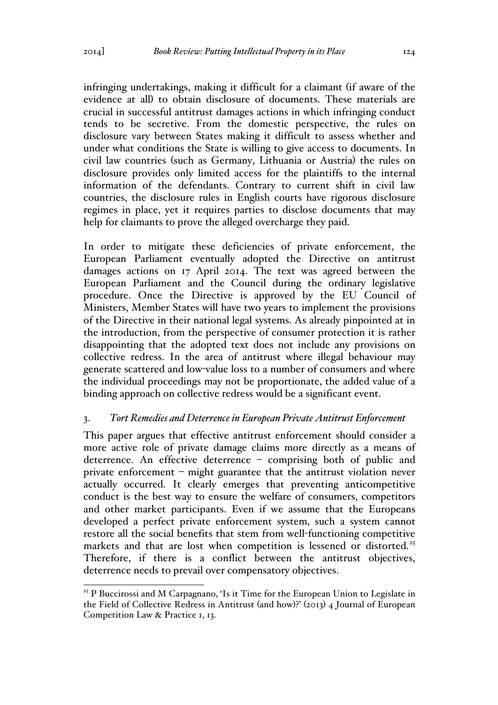infringing undertakings, making it difficult for a claimant (if aware of the evidence at all) to obtain disclosure of documents. These materials are crucial in successful antitrust damages actions in which infringing conduct tends to be secretive. From the domestic perspective, the rules on disclosure vary between States making it difficult to assess whether and under what conditions the State is willing to give access to documents. In civil law countries (such as Germany, Lithuania or Austria) the rules on disclosure provides only limited access for the plaintiffs to the internal information of the defendants. Contrary to current shift in civil law countries, the disclosure rules in English courts have rigorous disclosure regimes in place, yet it requires parties to disclose documents that may help for claimants to prove the alleged overcharge they paid.

In order to mitigate these deficiencies of private enforcement, the European Parliament eventually adopted the Directive on antitrust damages actions on 17 April 2014. The text was agreed between the European Parliament and the Council during the ordinary legislative procedure. Once the Directive is approved by the EU Council of Ministers, Member States will have two years to implement the provisions of the Directive in their national legal systems. As already pinpointed at in the introduction, from the perspective of consumer protection it is rather disappointing that the adopted text does not include any provisions on collective redress. In the area of antitrust where illegal behaviour may generate scattered and low-value loss to a number of consumers and where the individual proceedings may not be proportionate, the added value of a binding approach on collective redress would be a significant event.

#### 3. *Tort Remedies and Deterrence in European Private Antitrust Enforcement*

This paper argues that effective antitrust enforcement should consider a more active role of private damage claims more directly as a means of deterrence. An effective deterrence – comprising both of public and private enforcement – might guarantee that the antitrust violation never actually occurred. It clearly emerges that preventing anticompetitive conduct is the best way to ensure the welfare of consumers, competitors and other market participants. Even if we assume that the Europeans developed a perfect private enforcement system, such a system cannot restore all the social benefits that stem from well-functioning competitive markets and that are lost when competition is lessened or distorted.<sup>25</sup> Therefore, if there is a conflict between the antitrust objectives, deterrence needs to prevail over compensatory objectives.

<sup>&</sup>lt;sup>25</sup> P Buccirossi and M Carpagnano, 'Is it Time for the European Union to Legislate in the Field of Collective Redress in Antitrust (and how)?' (2013) 4 Journal of European Competition Law & Practice 1, 13.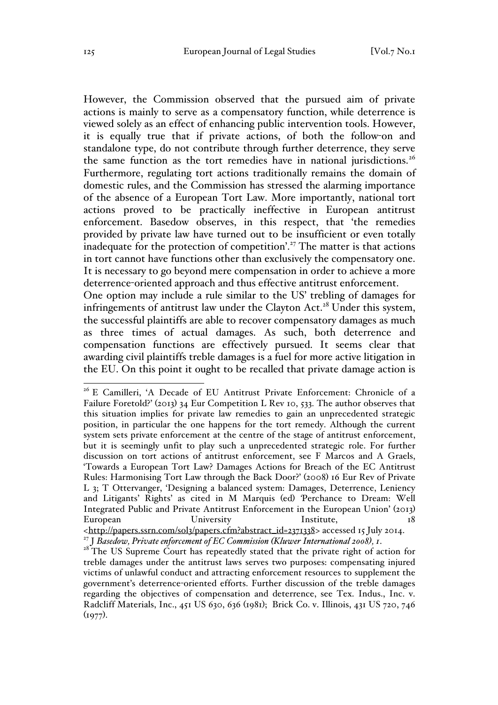However, the Commission observed that the pursued aim of private actions is mainly to serve as a compensatory function, while deterrence is viewed solely as an effect of enhancing public intervention tools. However, it is equally true that if private actions, of both the follow-on and standalone type, do not contribute through further deterrence, they serve the same function as the tort remedies have in national jurisdictions.<sup>26</sup> Furthermore, regulating tort actions traditionally remains the domain of domestic rules, and the Commission has stressed the alarming importance of the absence of a European Tort Law. More importantly, national tort actions proved to be practically ineffective in European antitrust enforcement. Basedow observes, in this respect, that 'the remedies provided by private law have turned out to be insufficient or even totally inadequate for the protection of competition'.<sup>27</sup> The matter is that actions in tort cannot have functions other than exclusively the compensatory one. It is necessary to go beyond mere compensation in order to achieve a more deterrence-oriented approach and thus effective antitrust enforcement.

One option may include a rule similar to the US' trebling of damages for infringements of antitrust law under the Clayton Act.<sup>28</sup> Under this system, the successful plaintiffs are able to recover compensatory damages as much as three times of actual damages. As such, both deterrence and compensation functions are effectively pursued. It seems clear that awarding civil plaintiffs treble damages is a fuel for more active litigation in the EU. On this point it ought to be recalled that private damage action is

<sup>&</sup>lt;sup>26</sup> E Camilleri, 'A Decade of EU Antitrust Private Enforcement: Chronicle of a Failure Foretold?' (2013) 34 Eur Competition L Rev 10, 533. The author observes that this situation implies for private law remedies to gain an unprecedented strategic position, in particular the one happens for the tort remedy. Although the current system sets private enforcement at the centre of the stage of antitrust enforcement, but it is seemingly unfit to play such a unprecedented strategic role. For further discussion on tort actions of antitrust enforcement, see F Marcos and A Graels, 'Towards a European Tort Law? Damages Actions for Breach of the EC Antitrust Rules: Harmonising Tort Law through the Back Door?' (2008) 16 Eur Rev of Private L 3; T Ottervanger, 'Designing a balanced system: Damages, Deterrence, Leniency and Litigants' Rights' as cited in M Marquis (ed) *'*Perchance to Dream: Well Integrated Public and Private Antitrust Enforcement in the European Union' (2013) European University Institute, <http://papers.ssrn.com/sol3/papers.cfm?abstract\_id=2371338> accessed 15 July 2014.<br><sup>27</sup> J Basedow, Private enforcement of EC Commission (Kluwer International 2008), 1.

<sup>&</sup>lt;sup>28</sup> The US Supreme Court has repeatedly stated that the private right of action for treble damages under the antitrust laws serves two purposes: compensating injured victims of unlawful conduct and attracting enforcement resources to supplement the government's deterrence-oriented efforts. Further discussion of the treble damages regarding the objectives of compensation and deterrence, see Tex. Indus., Inc. v. Radcliff Materials, Inc., 451 US 630, 636 (1981); Brick Co. v. Illinois, 431 US 720, 746  $(1977)$ .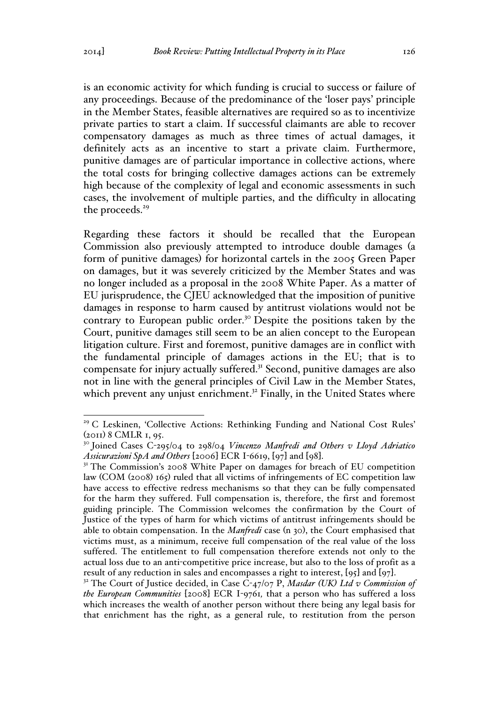is an economic activity for which funding is crucial to success or failure of any proceedings. Because of the predominance of the 'loser pays' principle in the Member States, feasible alternatives are required so as to incentivize private parties to start a claim. If successful claimants are able to recover compensatory damages as much as three times of actual damages, it definitely acts as an incentive to start a private claim. Furthermore, punitive damages are of particular importance in collective actions, where the total costs for bringing collective damages actions can be extremely high because of the complexity of legal and economic assessments in such cases, the involvement of multiple parties, and the difficulty in allocating the proceeds.<sup>29</sup>

Regarding these factors it should be recalled that the European Commission also previously attempted to introduce double damages (a form of punitive damages) for horizontal cartels in the 2005 Green Paper on damages, but it was severely criticized by the Member States and was no longer included as a proposal in the 2008 White Paper. As a matter of EU jurisprudence, the CJEU acknowledged that the imposition of punitive damages in response to harm caused by antitrust violations would not be contrary to European public order.<sup>30</sup> Despite the positions taken by the Court, punitive damages still seem to be an alien concept to the European litigation culture. First and foremost, punitive damages are in conflict with the fundamental principle of damages actions in the EU; that is to compensate for injury actually suffered.31 Second, punitive damages are also not in line with the general principles of Civil Law in the Member States, which prevent any unjust enrichment.<sup>32</sup> Finally, in the United States where

<sup>&</sup>lt;sup>29</sup> C Leskinen, 'Collective Actions: Rethinking Funding and National Cost Rules' (2011) 8 CMLR 1, 95.

<sup>30</sup> Joined Cases C-295/04 to 298/04 *Vincenzo Manfredi and Others v Lloyd Adriatico Assicurazioni SpA and Others* [2006] ECR I-6619, [97] and [98].<br><sup>31</sup> The Commission's 2008 White Paper on damages for breach of EU competition

law (COM (2008) 165) ruled that all victims of infringements of EC competition law have access to effective redress mechanisms so that they can be fully compensated for the harm they suffered. Full compensation is, therefore, the first and foremost guiding principle. The Commission welcomes the confirmation by the Court of Justice of the types of harm for which victims of antitrust infringements should be able to obtain compensation. In the *Manfredi* case (n 30), the Court emphasised that victims must, as a minimum, receive full compensation of the real value of the loss suffered. The entitlement to full compensation therefore extends not only to the actual loss due to an anti-competitive price increase, but also to the loss of profit as a

result of any reduction in sales and encompasses a right to interest, [95] and [97]. 32 The Court of Justice decided, in Case C-47/07 P, *Masdar (UK) Ltd v Commission of the European Communities* [2008] ECR I-9761*,* that a person who has suffered a loss which increases the wealth of another person without there being any legal basis for that enrichment has the right, as a general rule, to restitution from the person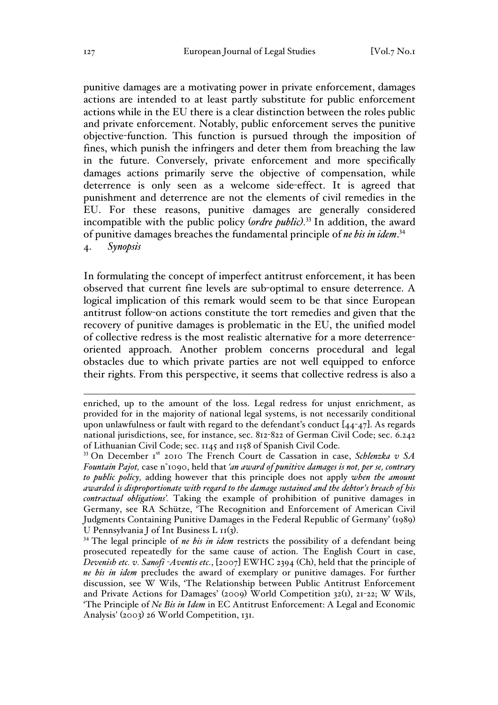punitive damages are a motivating power in private enforcement, damages actions are intended to at least partly substitute for public enforcement actions while in the EU there is a clear distinction between the roles public and private enforcement. Notably, public enforcement serves the punitive objective-function. This function is pursued through the imposition of fines, which punish the infringers and deter them from breaching the law in the future. Conversely, private enforcement and more specifically damages actions primarily serve the objective of compensation, while deterrence is only seen as a welcome side-effect. It is agreed that punishment and deterrence are not the elements of civil remedies in the EU. For these reasons, punitive damages are generally considered incompatible with the public policy (*ordre public).* <sup>33</sup> In addition, the award of punitive damages breaches the fundamental principle of *ne bis in idem*. 34 4. *Synopsis*

In formulating the concept of imperfect antitrust enforcement, it has been observed that current fine levels are sub-optimal to ensure deterrence. A logical implication of this remark would seem to be that since European antitrust follow-on actions constitute the tort remedies and given that the recovery of punitive damages is problematic in the EU, the unified model of collective redress is the most realistic alternative for a more deterrenceoriented approach. Another problem concerns procedural and legal obstacles due to which private parties are not well equipped to enforce their rights. From this perspective, it seems that collective redress is also a

enriched, up to the amount of the loss. Legal redress for unjust enrichment, as provided for in the majority of national legal systems, is not necessarily conditional upon unlawfulness or fault with regard to the defendant's conduct  $[44-47]$ . As regards national jurisdictions, see, for instance, sec. 812-822 of German Civil Code; sec. 6.242 of Lithuanian Civil Code; sec. 1145 and 1158 of Spanish Civil Code.

<sup>&</sup>lt;sup>33</sup> On December Ist 2010 The French Court de Cassation in case, *Schlenzka v SA Fountain Pajot,* case n°1090, held that *'an award of punitive damages is not, per se, contrary to public policy,* adding however that this principle does not apply *when the amount awarded is disproportionate with regard to the damage sustained and the debtor's breach of his contractual obligations'.* Taking the example of prohibition of punitive damages in Germany, see RA Schütze, 'The Recognition and Enforcement of American Civil Judgments Containing Punitive Damages in the Federal Republic of Germany' (1989) U Pennsylvania J of Int Business L 11(3).<br><sup>34</sup> The legal principle of *ne bis in idem* restricts the possibility of a defendant being

prosecuted repeatedly for the same cause of action. The English Court in case, *Devenish etc. v. Sanofi -Aventis etc.*, [2007] EWHC 2394 (Ch), held that the principle of *ne bis in idem* precludes the award of exemplary or punitive damages. For further discussion, see W Wils, 'The Relationship between Public Antitrust Enforcement and Private Actions for Damages' (2009) World Competition 32(1), 21-22; W Wils, 'The Principle of *Ne Bis in Idem* in EC Antitrust Enforcement: A Legal and Economic Analysis' (2003) 26 World Competition, 131.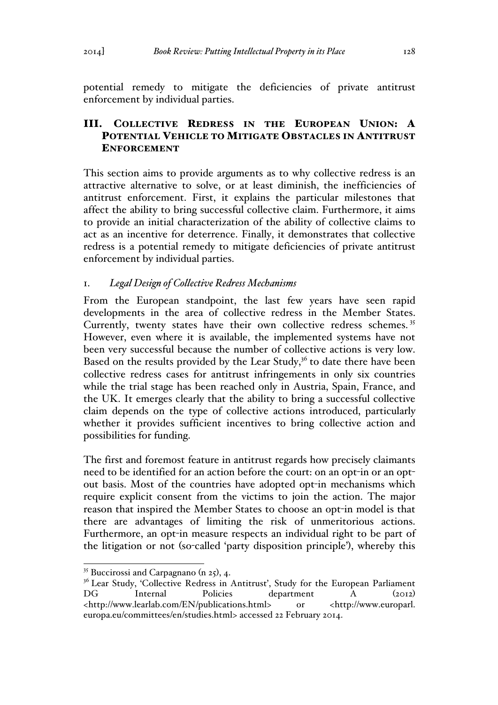potential remedy to mitigate the deficiencies of private antitrust

# III. COLLECTIVE REDRESS IN THE EUROPEAN UNION: A POTENTIAL VEHICLE TO MITIGATE OBSTACLES IN ANTITRUST ENFORCEMENT

This section aims to provide arguments as to why collective redress is an attractive alternative to solve, or at least diminish, the inefficiencies of antitrust enforcement. First, it explains the particular milestones that affect the ability to bring successful collective claim. Furthermore, it aims to provide an initial characterization of the ability of collective claims to act as an incentive for deterrence. Finally, it demonstrates that collective redress is a potential remedy to mitigate deficiencies of private antitrust enforcement by individual parties.

#### 1. *Legal Design of Collective Redress Mechanisms*

enforcement by individual parties.

From the European standpoint, the last few years have seen rapid developments in the area of collective redress in the Member States. Currently, twenty states have their own collective redress schemes.<sup>35</sup> However, even where it is available, the implemented systems have not been very successful because the number of collective actions is very low. Based on the results provided by the Lear Study, $36$  to date there have been collective redress cases for antitrust infringements in only six countries while the trial stage has been reached only in Austria, Spain, France, and the UK. It emerges clearly that the ability to bring a successful collective claim depends on the type of collective actions introduced, particularly whether it provides sufficient incentives to bring collective action and possibilities for funding.

The first and foremost feature in antitrust regards how precisely claimants need to be identified for an action before the court: on an opt-in or an optout basis. Most of the countries have adopted opt-in mechanisms which require explicit consent from the victims to join the action. The major reason that inspired the Member States to choose an opt-in model is that there are advantages of limiting the risk of unmeritorious actions. Furthermore, an opt-in measure respects an individual right to be part of the litigation or not (so-called 'party disposition principle'), whereby this

 $35$  Buccirossi and Carpagnano (n 25), 4.

<sup>&</sup>lt;sup>36</sup> Lear Study, 'Collective Redress in Antitrust', Study for the European Parliament Internal Policies department A (2012) <http://www.learlab.com/EN/publications.html> or <http://www.europarl. europa.eu/committees/en/studies.html> accessed 22 February 2014.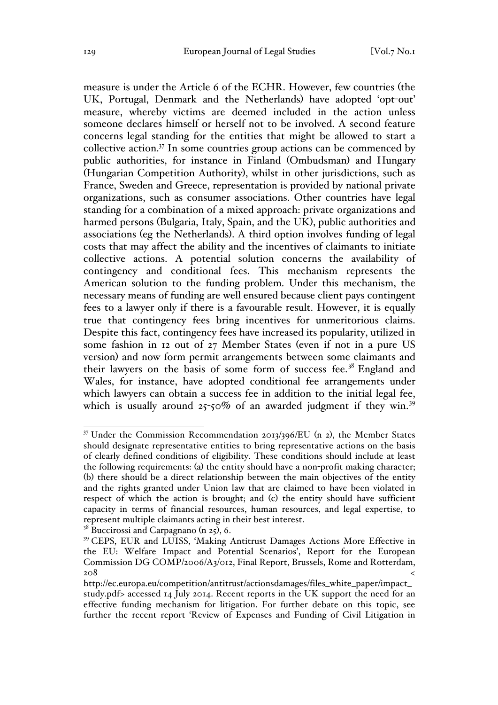measure is under the Article 6 of the ECHR. However, few countries (the UK, Portugal, Denmark and the Netherlands) have adopted 'opt-out' measure, whereby victims are deemed included in the action unless someone declares himself or herself not to be involved. A second feature concerns legal standing for the entities that might be allowed to start a collective action.37 In some countries group actions can be commenced by public authorities, for instance in Finland (Ombudsman) and Hungary (Hungarian Competition Authority), whilst in other jurisdictions, such as France, Sweden and Greece, representation is provided by national private organizations, such as consumer associations. Other countries have legal standing for a combination of a mixed approach: private organizations and harmed persons (Bulgaria, Italy, Spain, and the UK), public authorities and associations (eg the Netherlands). A third option involves funding of legal costs that may affect the ability and the incentives of claimants to initiate collective actions. A potential solution concerns the availability of contingency and conditional fees. This mechanism represents the American solution to the funding problem. Under this mechanism, the necessary means of funding are well ensured because client pays contingent fees to a lawyer only if there is a favourable result. However, it is equally true that contingency fees bring incentives for unmeritorious claims. Despite this fact, contingency fees have increased its popularity, utilized in some fashion in 12 out of 27 Member States (even if not in a pure US version) and now form permit arrangements between some claimants and their lawyers on the basis of some form of success fee. <sup>38</sup> England and Wales, for instance, have adopted conditional fee arrangements under which lawyers can obtain a success fee in addition to the initial legal fee, which is usually around  $25$ -50% of an awarded judgment if they win.<sup>39</sup>

<sup>&</sup>lt;sup>37</sup> Under the Commission Recommendation 2013/396/EU (n 2), the Member States should designate representative entities to bring representative actions on the basis of clearly defined conditions of eligibility. These conditions should include at least the following requirements: (a) the entity should have a non-profit making character; (b) there should be a direct relationship between the main objectives of the entity and the rights granted under Union law that are claimed to have been violated in respect of which the action is brought; and (c) the entity should have sufficient capacity in terms of financial resources, human resources, and legal expertise, to represent multiple claimants acting in their best interest.

 $38$  Buccirossi and Carpagnano (n 25), 6.<br><sup>39</sup> CEPS, EUR and LUISS, 'Making Antitrust Damages Actions More Effective in the EU: Welfare Impact and Potential Scenarios', Report for the European Commission DG COMP/2006/A3/012, Final Report, Brussels, Rome and Rotterdam,  $208$   $<$ 

http://ec.europa.eu/competition/antitrust/actionsdamages/files\_white\_paper/impact\_ study.pdf> accessed 14 July 2014. Recent reports in the UK support the need for an effective funding mechanism for litigation. For further debate on this topic, see further the recent report 'Review of Expenses and Funding of Civil Litigation in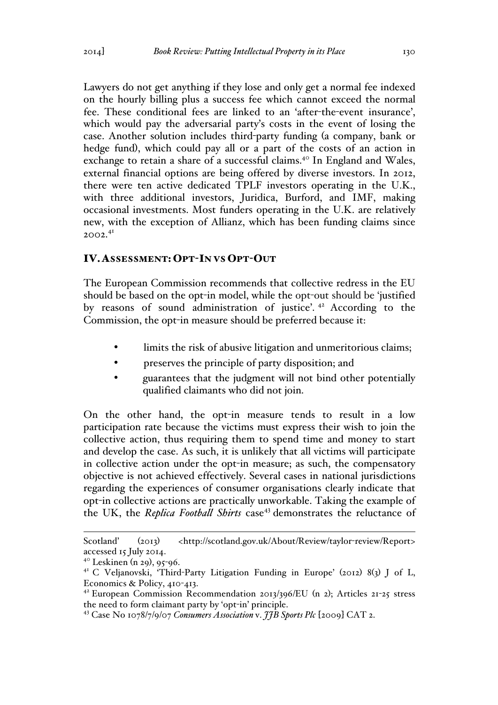Lawyers do not get anything if they lose and only get a normal fee indexed on the hourly billing plus a success fee which cannot exceed the normal fee. These conditional fees are linked to an 'after-the-event insurance', which would pay the adversarial party's costs in the event of losing the case. Another solution includes third-party funding (a company, bank or hedge fund), which could pay all or a part of the costs of an action in exchange to retain a share of a successful claims.<sup>40</sup> In England and Wales, external financial options are being offered by diverse investors. In 2012, there were ten active dedicated TPLF investors operating in the U.K., with three additional investors, Juridica, Burford, and IMF, making occasional investments. Most funders operating in the U.K. are relatively new, with the exception of Allianz, which has been funding claims since 2002.<sup>41</sup>

#### IV.ASSESSMENT: OPT-IN VS OPT-OUT

The European Commission recommends that collective redress in the EU should be based on the opt-in model, while the opt-out should be 'justified by reasons of sound administration of justice'. <sup>42</sup> According to the Commission, the opt-in measure should be preferred because it:

- limits the risk of abusive litigation and unmeritorious claims;
- preserves the principle of party disposition; and
- guarantees that the judgment will not bind other potentially qualified claimants who did not join.

On the other hand, the opt-in measure tends to result in a low participation rate because the victims must express their wish to join the collective action, thus requiring them to spend time and money to start and develop the case. As such, it is unlikely that all victims will participate in collective action under the opt-in measure; as such, the compensatory objective is not achieved effectively. Several cases in national jurisdictions regarding the experiences of consumer organisations clearly indicate that opt-in collective actions are practically unworkable. Taking the example of the UK, the *Replica Football Shirts* case<sup>43</sup> demonstrates the reluctance of

Scotland' (2013) <http://scotland.gov.uk/About/Review/taylor-review/Report> accessed 15 July 2014.

 $4^{\circ}$  Leskinen (n 29), 95-96.

<sup>41</sup> C Veljanovski, 'Third-Party Litigation Funding in Europe' (2012) 8(3) J of L, Economics & Policy, 410-413.

<sup>42</sup> European Commission Recommendation 2013/396/EU (n 2); Articles 21-25 stress the need to form claimant party by 'opt-in' principle.

<sup>43</sup> Case No 1078/7/9/07 *Consumers Association* v. *JJB Sports Plc* [2009] CAT 2.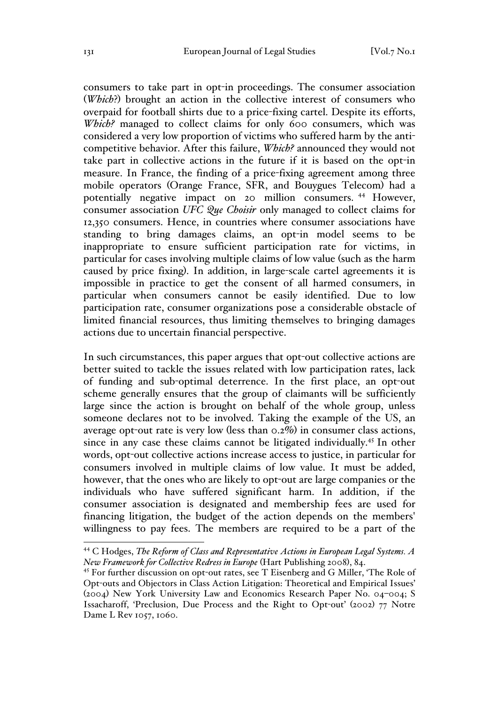consumers to take part in opt-in proceedings. The consumer association (*Which*?) brought an action in the collective interest of consumers who overpaid for football shirts due to a price-fixing cartel. Despite its efforts, Which? managed to collect claims for only 600 consumers, which was considered a very low proportion of victims who suffered harm by the anticompetitive behavior. After this failure, *Which?* announced they would not take part in collective actions in the future if it is based on the opt-in measure. In France, the finding of a price-fixing agreement among three mobile operators (Orange France, SFR, and Bouygues Telecom) had a potentially negative impact on 20 million consumers. <sup>44</sup> However, consumer association *UFC Que Choisir* only managed to collect claims for 12,350 consumers. Hence, in countries where consumer associations have standing to bring damages claims, an opt-in model seems to be inappropriate to ensure sufficient participation rate for victims, in particular for cases involving multiple claims of low value (such as the harm caused by price fixing). In addition, in large-scale cartel agreements it is impossible in practice to get the consent of all harmed consumers, in particular when consumers cannot be easily identified. Due to low participation rate, consumer organizations pose a considerable obstacle of limited financial resources, thus limiting themselves to bringing damages actions due to uncertain financial perspective.

In such circumstances, this paper argues that opt-out collective actions are better suited to tackle the issues related with low participation rates, lack of funding and sub-optimal deterrence. In the first place, an opt-out scheme generally ensures that the group of claimants will be sufficiently large since the action is brought on behalf of the whole group, unless someone declares not to be involved. Taking the example of the US, an average opt-out rate is very low (less than 0.2%) in consumer class actions, since in any case these claims cannot be litigated individually.<sup>45</sup> In other words, opt-out collective actions increase access to justice, in particular for consumers involved in multiple claims of low value. It must be added, however, that the ones who are likely to opt-out are large companies or the individuals who have suffered significant harm. In addition, if the consumer association is designated and membership fees are used for financing litigation, the budget of the action depends on the members' willingness to pay fees. The members are required to be a part of the

 <sup>44</sup> C Hodges, *The Reform of Class and Representative Actions in European Legal Systems. A New Framework for Collective Redress in Europe* (Hart Publishing 2008), 84.

<sup>45</sup> For further discussion on opt-out rates, see T Eisenberg and G Miller, 'The Role of Opt-outs and Objectors in Class Action Litigation: Theoretical and Empirical Issues' (2004) New York University Law and Economics Research Paper No. 04–004; S Issacharoff, 'Preclusion, Due Process and the Right to Opt-out' (2002) 77 Notre Dame L Rev 1057, 1060.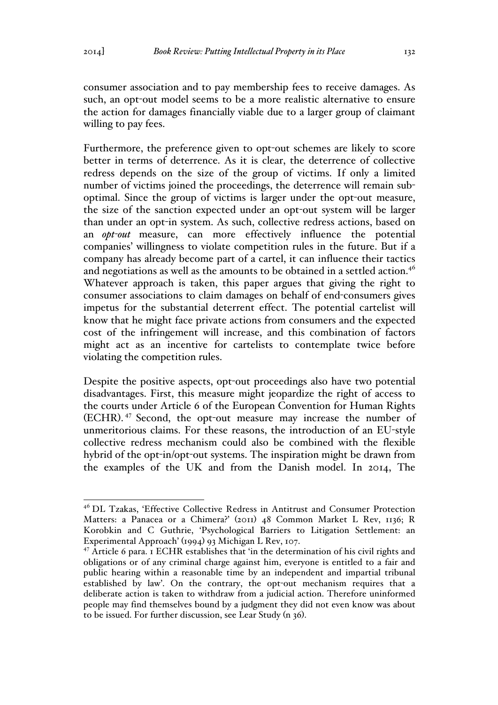consumer association and to pay membership fees to receive damages. As such, an opt-out model seems to be a more realistic alternative to ensure the action for damages financially viable due to a larger group of claimant willing to pay fees.

Furthermore, the preference given to opt-out schemes are likely to score better in terms of deterrence. As it is clear, the deterrence of collective redress depends on the size of the group of victims. If only a limited number of victims joined the proceedings, the deterrence will remain suboptimal. Since the group of victims is larger under the opt-out measure, the size of the sanction expected under an opt-out system will be larger than under an opt-in system. As such, collective redress actions, based on an *opt-out* measure, can more effectively influence the potential companies' willingness to violate competition rules in the future. But if a company has already become part of a cartel, it can influence their tactics and negotiations as well as the amounts to be obtained in a settled action.<sup>46</sup> Whatever approach is taken, this paper argues that giving the right to consumer associations to claim damages on behalf of end-consumers gives impetus for the substantial deterrent effect. The potential cartelist will know that he might face private actions from consumers and the expected cost of the infringement will increase, and this combination of factors might act as an incentive for cartelists to contemplate twice before violating the competition rules.

Despite the positive aspects, opt-out proceedings also have two potential disadvantages. First, this measure might jeopardize the right of access to the courts under Article 6 of the European Convention for Human Rights (ECHR). <sup>47</sup> Second, the opt-out measure may increase the number of unmeritorious claims. For these reasons, the introduction of an EU-style collective redress mechanism could also be combined with the flexible hybrid of the opt-in/opt-out systems. The inspiration might be drawn from the examples of the UK and from the Danish model. In 2014, The

 <sup>46</sup> DL Tzakas, 'Effective Collective Redress in Antitrust and Consumer Protection Matters: a Panacea or a Chimera?' (2011) 48 Common Market L Rev, 1136; R Korobkin and C Guthrie, 'Psychological Barriers to Litigation Settlement: an Experimental Approach' (1994) 93 Michigan L Rev, 107.

<sup>47</sup> Article 6 para. 1 ECHR establishes that 'in the determination of his civil rights and obligations or of any criminal charge against him, everyone is entitled to a fair and public hearing within a reasonable time by an independent and impartial tribunal established by law'. On the contrary, the opt-out mechanism requires that a deliberate action is taken to withdraw from a judicial action. Therefore uninformed people may find themselves bound by a judgment they did not even know was about to be issued. For further discussion, see Lear Study (n 36).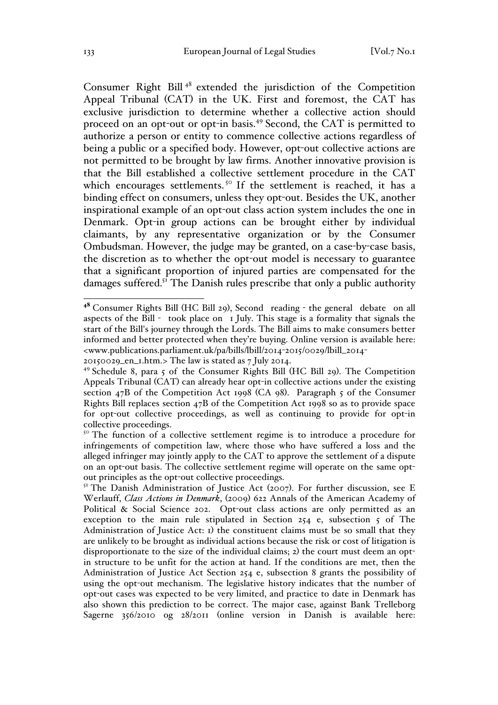Consumer Right Bill <sup>48</sup> extended the jurisdiction of the Competition Appeal Tribunal (CAT) in the UK. First and foremost, the CAT has exclusive jurisdiction to determine whether a collective action should proceed on an opt-out or opt-in basis.<sup>49</sup> Second, the CAT is permitted to authorize a person or entity to commence collective actions regardless of being a public or a specified body. However, opt-out collective actions are not permitted to be brought by law firms. Another innovative provision is that the Bill established a collective settlement procedure in the CAT which encourages settlements.<sup>50</sup> If the settlement is reached, it has a binding effect on consumers, unless they opt-out. Besides the UK, another inspirational example of an opt-out class action system includes the one in Denmark. Opt-in group actions can be brought either by individual claimants, by any representative organization or by the Consumer Ombudsman. However, the judge may be granted, on a case-by-case basis, the discretion as to whether the opt-out model is necessary to guarantee that a significant proportion of injured parties are compensated for the damages suffered.<sup>51</sup> The Danish rules prescribe that only a public authority

<sup>48</sup> Consumer Rights Bill (HC Bill 29), Second reading - the general debate on all aspects of the Bill - took place on 1 July. This stage is a formality that signals the start of the Bill's journey through the Lords. The Bill aims to make consumers better informed and better protected when they're buying. Online version is available here: <www.publications.parliament.uk/pa/bills/lbill/2014-2015/0029/lbill\_2014-

<sup>20150029</sup>\_en\_1.htm.> The law is stated as 7 July 2014.

<sup>49</sup> Schedule 8, para 5 of the Consumer Rights Bill (HC Bill 29). The Competition Appeals Tribunal (CAT) can already hear opt-in collective actions under the existing section  $47B$  of the Competition Act 1998 (CA 98). Paragraph 5 of the Consumer Rights Bill replaces section 47B of the Competition Act 1998 so as to provide space for opt-out collective proceedings, as well as continuing to provide for opt-in collective proceedings.

<sup>&</sup>lt;sup>50</sup> The function of a collective settlement regime is to introduce a procedure for infringements of competition law, where those who have suffered a loss and the alleged infringer may jointly apply to the CAT to approve the settlement of a dispute on an opt-out basis. The collective settlement regime will operate on the same optout principles as the opt-out collective proceedings.

 $5<sup>T</sup>$  The Danish Administration of Justice Act (2007). For further discussion, see E Werlauff, *Class Actions in Denmark*, (2009) 622 Annals of the American Academy of Political & Social Science 202. Opt-out class actions are only permitted as an exception to the main rule stipulated in Section 254 e, subsection 5 of The Administration of Justice Act: 1) the constituent claims must be so small that they are unlikely to be brought as individual actions because the risk or cost of litigation is disproportionate to the size of the individual claims; 2) the court must deem an optin structure to be unfit for the action at hand. If the conditions are met, then the Administration of Justice Act Section 254 e, subsection 8 grants the possibility of using the opt-out mechanism. The legislative history indicates that the number of opt-out cases was expected to be very limited, and practice to date in Denmark has also shown this prediction to be correct. The major case, against Bank Trelleborg Sagerne 356/2010 og 28/2011 (online version in Danish is available here: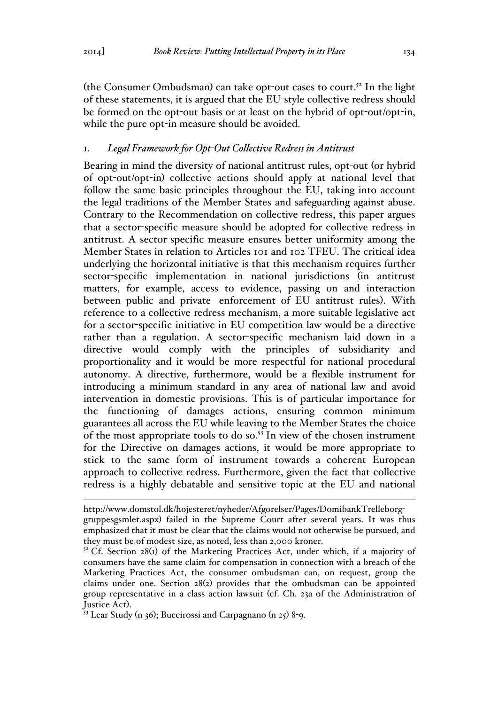(the Consumer Ombudsman) can take opt-out cases to court. <sup>52</sup> In the light of these statements, it is argued that the EU-style collective redress should be formed on the opt-out basis or at least on the hybrid of opt-out/opt-in, while the pure opt-in measure should be avoided.

#### 1. *Legal Framework for Opt-Out Collective Redress in Antitrust*

Bearing in mind the diversity of national antitrust rules, opt-out (or hybrid of opt-out/opt-in) collective actions should apply at national level that follow the same basic principles throughout the EU, taking into account the legal traditions of the Member States and safeguarding against abuse. Contrary to the Recommendation on collective redress, this paper argues that a sector-specific measure should be adopted for collective redress in antitrust. A sector-specific measure ensures better uniformity among the Member States in relation to Articles 101 and 102 TFEU. The critical idea underlying the horizontal initiative is that this mechanism requires further sector-specific implementation in national jurisdictions (in antitrust matters, for example, access to evidence, passing on and interaction between public and private enforcement of EU antitrust rules). With reference to a collective redress mechanism, a more suitable legislative act for a sector-specific initiative in EU competition law would be a directive rather than a regulation. A sector-specific mechanism laid down in a directive would comply with the principles of subsidiarity and proportionality and it would be more respectful for national procedural autonomy. A directive, furthermore, would be a flexible instrument for introducing a minimum standard in any area of national law and avoid intervention in domestic provisions. This is of particular importance for the functioning of damages actions, ensuring common minimum guarantees all across the EU while leaving to the Member States the choice of the most appropriate tools to do so.53 In view of the chosen instrument for the Directive on damages actions, it would be more appropriate to stick to the same form of instrument towards a coherent European approach to collective redress. Furthermore, given the fact that collective redress is a highly debatable and sensitive topic at the EU and national

http://www.domstol.dk/hojesteret/nyheder/Afgorelser/Pages/DomibankTrelleborggruppesgsmlet.aspx) failed in the Supreme Court after several years. It was thus emphasized that it must be clear that the claims would not otherwise be pursued, and they must be of modest size, as noted, less than 2,000 kroner.

 $5<sup>2</sup>$  Cf. Section 28(1) of the Marketing Practices Act, under which, if a majority of consumers have the same claim for compensation in connection with a breach of the Marketing Practices Act, the consumer ombudsman can, on request, group the claims under one. Section 28(2) provides that the ombudsman can be appointed group representative in a class action lawsuit (cf. Ch. 23a of the Administration of Justice Act).<br><sup>53</sup> Lear Study (n 36); Buccirossi and Carpagnano (n 25) 8-9.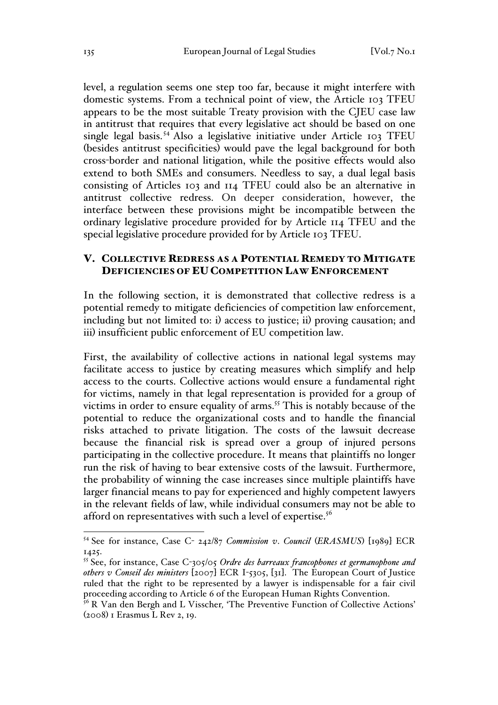level, a regulation seems one step too far, because it might interfere with domestic systems. From a technical point of view, the Article 103 TFEU appears to be the most suitable Treaty provision with the CJEU case law in antitrust that requires that every legislative act should be based on one single legal basis. <sup>54</sup> Also a legislative initiative under Article 103 TFEU (besides antitrust specificities) would pave the legal background for both cross-border and national litigation, while the positive effects would also extend to both SMEs and consumers. Needless to say, a dual legal basis consisting of Articles 103 and 114 TFEU could also be an alternative in antitrust collective redress. On deeper consideration, however, the interface between these provisions might be incompatible between the ordinary legislative procedure provided for by Article 114 TFEU and the special legislative procedure provided for by Article 103 TFEU.

### V. COLLECTIVE REDRESS AS A POTENTIAL REMEDY TO MITIGATE DEFICIENCIES OF EU COMPETITION LAW ENFORCEMENT

In the following section, it is demonstrated that collective redress is a potential remedy to mitigate deficiencies of competition law enforcement, including but not limited to: i) access to justice; ii) proving causation; and iii) insufficient public enforcement of EU competition law.

First, the availability of collective actions in national legal systems may facilitate access to justice by creating measures which simplify and help access to the courts. Collective actions would ensure a fundamental right for victims, namely in that legal representation is provided for a group of victims in order to ensure equality of arms.<sup>55</sup> This is notably because of the potential to reduce the organizational costs and to handle the financial risks attached to private litigation. The costs of the lawsuit decrease because the financial risk is spread over a group of injured persons participating in the collective procedure. It means that plaintiffs no longer run the risk of having to bear extensive costs of the lawsuit. Furthermore, the probability of winning the case increases since multiple plaintiffs have larger financial means to pay for experienced and highly competent lawyers in the relevant fields of law, while individual consumers may not be able to afford on representatives with such a level of expertise. $^{56}$ 

 <sup>54</sup> See for instance, Case C- 242/87 *Commission v*. *Council* (*ERASMUS*) [1989] ECR 1425.

<sup>55</sup> See, for instance, Case C-305/05 *Ordre des barreaux francophones et germanophone and others v Conseil des ministers* [2007] ECR I-5305, [31]. The European Court of Justice ruled that the right to be represented by a lawyer is indispensable for a fair civil proceeding according to Article 6 of the European Human Rights Convention. 56 R Van den Bergh and L Visscher*,* 'The Preventive Function of Collective Actions'

<sup>(</sup>2008) 1 Erasmus L Rev 2, 19.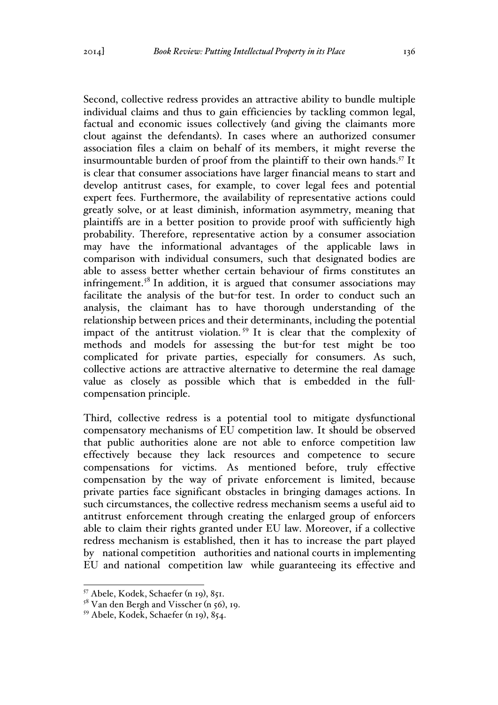Second, collective redress provides an attractive ability to bundle multiple individual claims and thus to gain efficiencies by tackling common legal, factual and economic issues collectively (and giving the claimants more clout against the defendants). In cases where an authorized consumer association files a claim on behalf of its members, it might reverse the insurmountable burden of proof from the plaintiff to their own hands.<sup>57</sup> It is clear that consumer associations have larger financial means to start and develop antitrust cases, for example, to cover legal fees and potential expert fees. Furthermore, the availability of representative actions could greatly solve, or at least diminish, information asymmetry, meaning that plaintiffs are in a better position to provide proof with sufficiently high probability. Therefore, representative action by a consumer association may have the informational advantages of the applicable laws in comparison with individual consumers, such that designated bodies are able to assess better whether certain behaviour of firms constitutes an infringement.<sup>58</sup> In addition, it is argued that consumer associations may facilitate the analysis of the but-for test. In order to conduct such an analysis, the claimant has to have thorough understanding of the relationship between prices and their determinants, including the potential impact of the antitrust violation. <sup>59</sup> It is clear that the complexity of methods and models for assessing the but-for test might be too complicated for private parties, especially for consumers. As such, collective actions are attractive alternative to determine the real damage value as closely as possible which that is embedded in the fullcompensation principle.

Third, collective redress is a potential tool to mitigate dysfunctional compensatory mechanisms of EU competition law. It should be observed that public authorities alone are not able to enforce competition law effectively because they lack resources and competence to secure compensations for victims. As mentioned before, truly effective compensation by the way of private enforcement is limited, because private parties face significant obstacles in bringing damages actions. In such circumstances, the collective redress mechanism seems a useful aid to antitrust enforcement through creating the enlarged group of enforcers able to claim their rights granted under EU law. Moreover, if a collective redress mechanism is established, then it has to increase the part played by national competition authorities and national courts in implementing EU and national competition law while guaranteeing its effective and

 <sup>57</sup> Abele, Kodek, Schaefer (n 19), 851.

 $58$  Van den Bergh and Visscher (n 56), 19.

<sup>59</sup> Abele, Kodek, Schaefer (n 19), 854.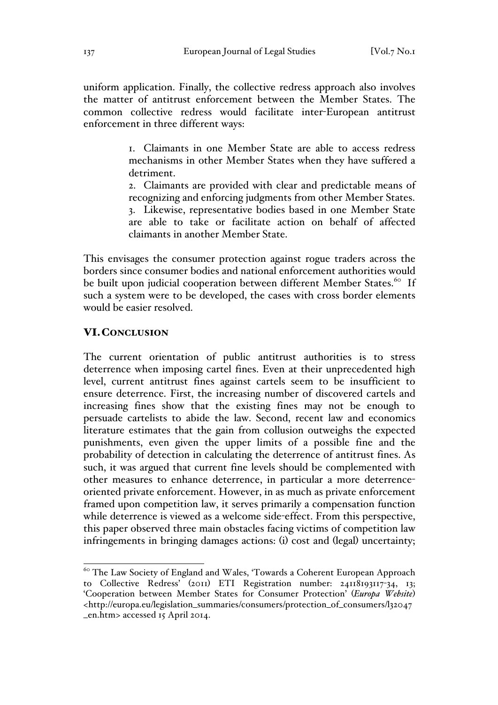uniform application. Finally, the collective redress approach also involves the matter of antitrust enforcement between the Member States. The common collective redress would facilitate inter-European antitrust enforcement in three different ways:

> 1. Claimants in one Member State are able to access redress mechanisms in other Member States when they have suffered a detriment.

> 2. Claimants are provided with clear and predictable means of recognizing and enforcing judgments from other Member States.

> 3. Likewise, representative bodies based in one Member State are able to take or facilitate action on behalf of affected claimants in another Member State.

This envisages the consumer protection against rogue traders across the borders since consumer bodies and national enforcement authorities would be built upon judicial cooperation between different Member States.<sup>60</sup> If such a system were to be developed, the cases with cross border elements would be easier resolved.

# VI.CONCLUSION

The current orientation of public antitrust authorities is to stress deterrence when imposing cartel fines. Even at their unprecedented high level, current antitrust fines against cartels seem to be insufficient to ensure deterrence. First, the increasing number of discovered cartels and increasing fines show that the existing fines may not be enough to persuade cartelists to abide the law. Second, recent law and economics literature estimates that the gain from collusion outweighs the expected punishments, even given the upper limits of a possible fine and the probability of detection in calculating the deterrence of antitrust fines. As such, it was argued that current fine levels should be complemented with other measures to enhance deterrence, in particular a more deterrenceoriented private enforcement. However, in as much as private enforcement framed upon competition law, it serves primarily a compensation function while deterrence is viewed as a welcome side-effect. From this perspective, this paper observed three main obstacles facing victims of competition law infringements in bringing damages actions: (i) cost and (legal) uncertainty;

<sup>&</sup>lt;sup>60</sup> The Law Society of England and Wales, 'Towards a Coherent European Approach to Collective Redress' (2011) ETI Registration number: 24118193117-34, 13; 'Cooperation between Member States for Consumer Protection' (*Europa Website*) <http://europa.eu/legislation\_summaries/consumers/protection\_of\_consumers/l32047 \_en.htm> accessed 15 April 2014.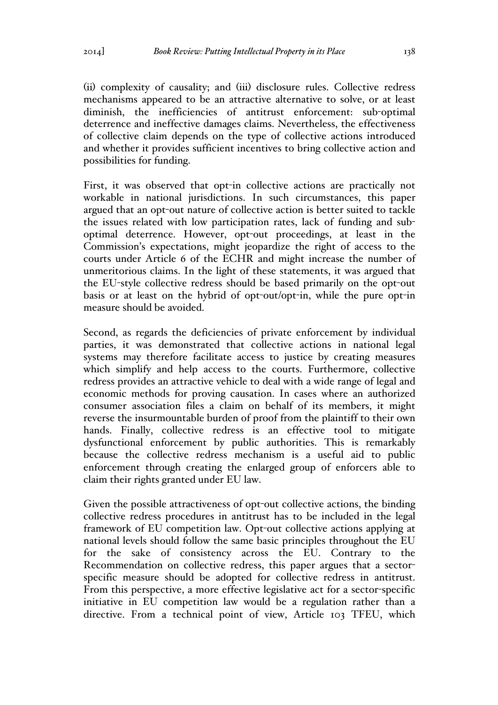(ii) complexity of causality; and (iii) disclosure rules. Collective redress mechanisms appeared to be an attractive alternative to solve, or at least diminish, the inefficiencies of antitrust enforcement: sub-optimal deterrence and ineffective damages claims. Nevertheless, the effectiveness of collective claim depends on the type of collective actions introduced and whether it provides sufficient incentives to bring collective action and possibilities for funding.

First, it was observed that opt-in collective actions are practically not workable in national jurisdictions. In such circumstances, this paper argued that an opt-out nature of collective action is better suited to tackle the issues related with low participation rates, lack of funding and suboptimal deterrence. However, opt-out proceedings, at least in the Commission's expectations, might jeopardize the right of access to the courts under Article 6 of the ECHR and might increase the number of unmeritorious claims. In the light of these statements, it was argued that the EU-style collective redress should be based primarily on the opt-out basis or at least on the hybrid of opt-out/opt-in, while the pure opt-in measure should be avoided.

Second, as regards the deficiencies of private enforcement by individual parties, it was demonstrated that collective actions in national legal systems may therefore facilitate access to justice by creating measures which simplify and help access to the courts. Furthermore, collective redress provides an attractive vehicle to deal with a wide range of legal and economic methods for proving causation. In cases where an authorized consumer association files a claim on behalf of its members, it might reverse the insurmountable burden of proof from the plaintiff to their own hands. Finally, collective redress is an effective tool to mitigate dysfunctional enforcement by public authorities. This is remarkably because the collective redress mechanism is a useful aid to public enforcement through creating the enlarged group of enforcers able to claim their rights granted under EU law.

Given the possible attractiveness of opt-out collective actions, the binding collective redress procedures in antitrust has to be included in the legal framework of EU competition law. Opt-out collective actions applying at national levels should follow the same basic principles throughout the EU for the sake of consistency across the EU. Contrary to the Recommendation on collective redress, this paper argues that a sectorspecific measure should be adopted for collective redress in antitrust. From this perspective, a more effective legislative act for a sector-specific initiative in EU competition law would be a regulation rather than a directive. From a technical point of view, Article 103 TFEU, which